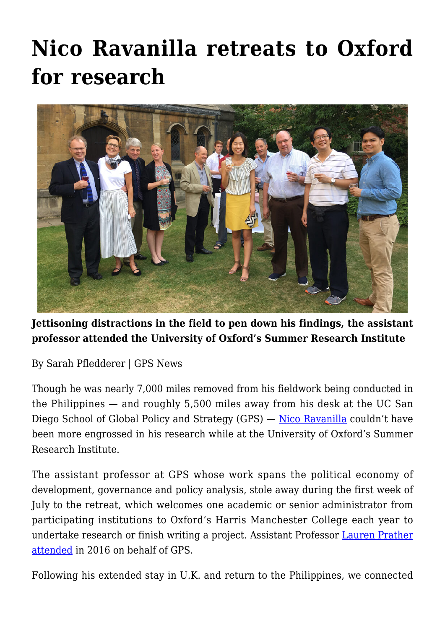# **[Nico Ravanilla retreats to Oxford](https://gpsnews.ucsd.edu/nico-ravanilla-retreats-to-oxford-for-research/) [for research](https://gpsnews.ucsd.edu/nico-ravanilla-retreats-to-oxford-for-research/)**



#### **Jettisoning distractions in the field to pen down his findings, the assistant professor attended the University of Oxford's Summer Research Institute**

By Sarah Pfledderer | GPS News

Though he was nearly 7,000 miles removed from his fieldwork being conducted in the Philippines — and roughly 5,500 miles away from his desk at the UC San Diego School of Global Policy and Strategy (GPS) — <u>[Nico Ravanilla](https://gps.ucsd.edu/faculty-directory/nico-ravanilla.html)</u> couldn't have been more engrossed in his research while at the University of Oxford's Summer Research Institute.

The assistant professor at GPS whose work spans the political economy of development, governance and policy analysis, stole away during the first week of July to the retreat, which welcomes one academic or senior administrator from participating institutions to Oxford's Harris Manchester College each year to undertake research or finish writing a project. Assistant Professor [Lauren Prather](https://gpsnews.ucsd.edu/refining-research-in-the-thick-of-the-brexit.html) [attended](https://gpsnews.ucsd.edu/refining-research-in-the-thick-of-the-brexit.html) in 2016 on behalf of GPS.

Following his extended stay in U.K. and return to the Philippines, we connected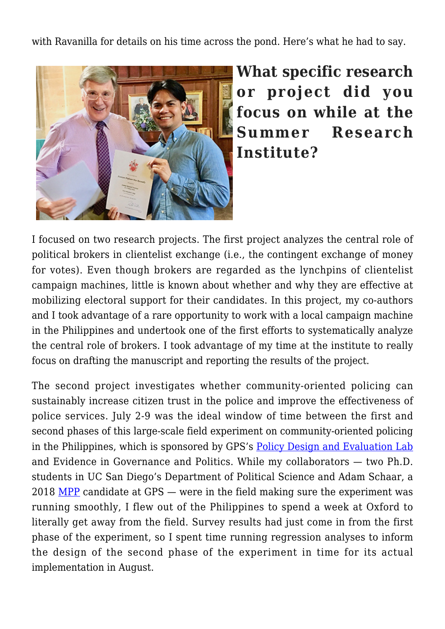with Ravanilla for details on his time across the pond. Here's what he had to say.



**What specific research or project did you focus on while at the Summer Research Institute?**

I focused on two research projects. The first project analyzes the central role of political brokers in clientelist exchange (i.e., the contingent exchange of money for votes). Even though brokers are regarded as the lynchpins of clientelist campaign machines, little is known about whether and why they are effective at mobilizing electoral support for their candidates. In this project, my co-authors and I took advantage of a rare opportunity to work with a local campaign machine in the Philippines and undertook one of the first efforts to systematically analyze the central role of brokers. I took advantage of my time at the institute to really focus on drafting the manuscript and reporting the results of the project.

The second project investigates whether community-oriented policing can sustainably increase citizen trust in the police and improve the effectiveness of police services. July 2-9 was the ideal window of time between the first and second phases of this large-scale field experiment on community-oriented policing in the Philippines, which is sponsored by GPS's [Policy Design and Evaluation Lab](http://pdel.ucsd.edu/) and Evidence in Governance and Politics. While my collaborators — two Ph.D. students in UC San Diego's Department of Political Science and Adam Schaar, a 2018 [MPP](https://gps.ucsd.edu/academics/mpp.html) candidate at GPS — were in the field making sure the experiment was running smoothly, I flew out of the Philippines to spend a week at Oxford to literally get away from the field. Survey results had just come in from the first phase of the experiment, so I spent time running regression analyses to inform the design of the second phase of the experiment in time for its actual implementation in August.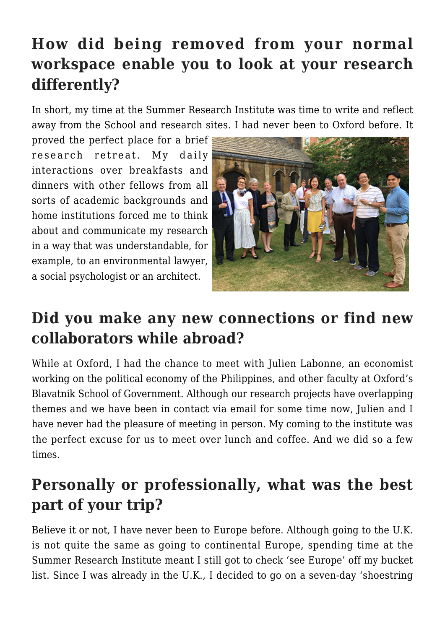# **How did being removed from your normal workspace enable you to look at your research differently?**

In short, my time at the Summer Research Institute was time to write and reflect away from the School and research sites. I had never been to Oxford before. It

proved the perfect place for a brief research retreat. My daily interactions over breakfasts and dinners with other fellows from all sorts of academic backgrounds and home institutions forced me to think about and communicate my research in a way that was understandable, for example, to an environmental lawyer, a social psychologist or an architect.



### **Did you make any new connections or find new collaborators while abroad?**

While at Oxford, I had the chance to meet with Julien Labonne, an economist working on the political economy of the Philippines, and other faculty at Oxford's Blavatnik School of Government. Although our research projects have overlapping themes and we have been in contact via email for some time now, Julien and I have never had the pleasure of meeting in person. My coming to the institute was the perfect excuse for us to meet over lunch and coffee. And we did so a few times.

# **Personally or professionally, what was the best part of your trip?**

Believe it or not, I have never been to Europe before. Although going to the U.K. is not quite the same as going to continental Europe, spending time at the Summer Research Institute meant I still got to check 'see Europe' off my bucket list. Since I was already in the U.K., I decided to go on a seven-day 'shoestring